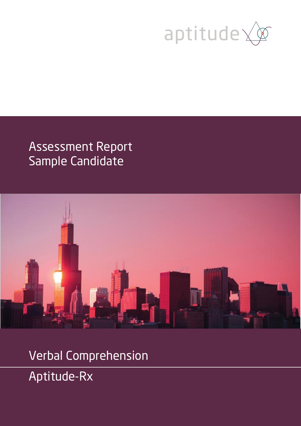

# Assessment Report Sample Candidate



Verbal Comprehension Aptitude-Rx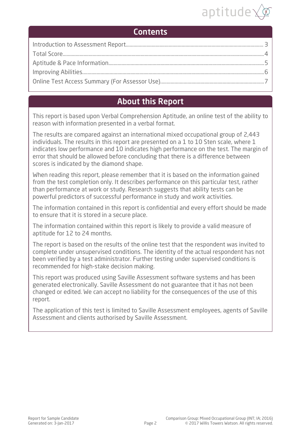

### **Contents**

### About this Report

This report is based upon Verbal Comprehension Aptitude, an online test of the ability to reason with information presented in a verbal format.

The results are compared against an international mixed occupational group of 2,443 individuals. The results in this report are presented on a 1 to 10 Sten scale, where 1 indicates low performance and 10 indicates high performance on the test. The margin of error that should be allowed before concluding that there is a difference between scores is indicated by the diamond shape.

When reading this report, please remember that it is based on the information gained from the test completion only. It describes performance on this particular test, rather than performance at work or study. Research suggests that ability tests can be powerful predictors of successful performance in study and work activities.

The information contained in this report is confidential and every effort should be made to ensure that it is stored in a secure place.

The information contained within this report is likely to provide a valid measure of aptitude for 12 to 24 months.

The report is based on the results of the online test that the respondent was invited to complete under unsupervised conditions. The identity of the actual respondent has not been verified by a test administrator. Further testing under supervised conditions is recommended for high-stake decision making.

This report was produced using Saville Assessment software systems and has been generated electronically. Saville Assessment do not guarantee that it has not been changed or edited. We can accept no liability for the consequences of the use of this report.

The application of this test is limited to Saville Assessment employees, agents of Saville Assessment and clients authorised by Saville Assessment.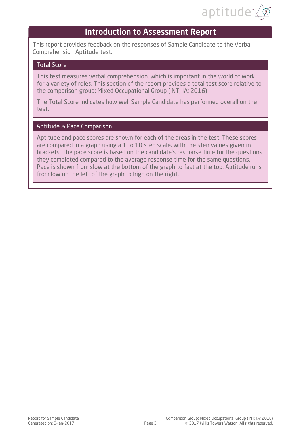

### Introduction to Assessment Report

<span id="page-2-0"></span>This report provides feedback on the responses of Sample Candidate to the Verbal Comprehension Aptitude test.

#### Total Score

This test measures verbal comprehension, which is important in the world of work for a variety of roles. This section of the report provides a total test score relative to the comparison group: Mixed Occupational Group (INT; IA; 2016)

The Total Score indicates how well Sample Candidate has performed overall on the test.

#### Aptitude & Pace Comparison

Aptitude and pace scores are shown for each of the areas in the test. These scores are compared in a graph using a 1 to 10 sten scale, with the sten values given in brackets. The pace score is based on the candidate's response time for the questions they completed compared to the average response time for the same questions. Pace is shown from slow at the bottom of the graph to fast at the top. Aptitude runs from low on the left of the graph to high on the right.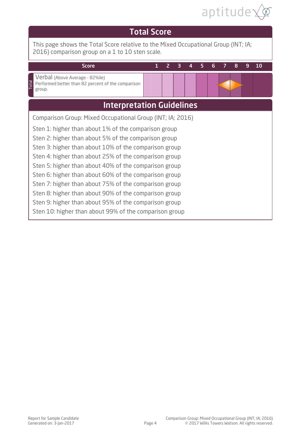

<span id="page-3-0"></span>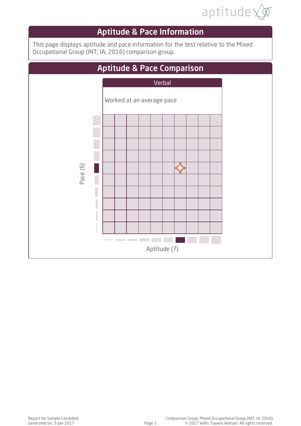

# Aptitude & Pace Information

<span id="page-4-0"></span>This page displays aptitude and pace information for the test relative to the Mixed Occupational Group (INT; IA; 2016) comparison group.

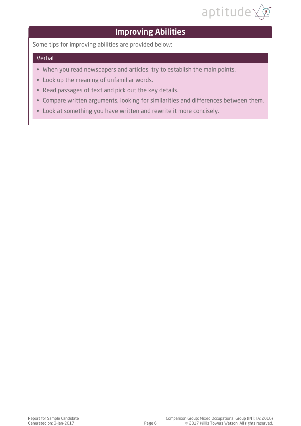

# Improving Abilities

<span id="page-5-0"></span>Some tips for improving abilities are provided below:

#### Verbal

- When you read newspapers and articles, try to establish the main points.
- Look up the meaning of unfamiliar words.
- Read passages of text and pick out the key details.
- Compare written arguments, looking for similarities and differences between them.
- Look at something you have written and rewrite it more concisely.